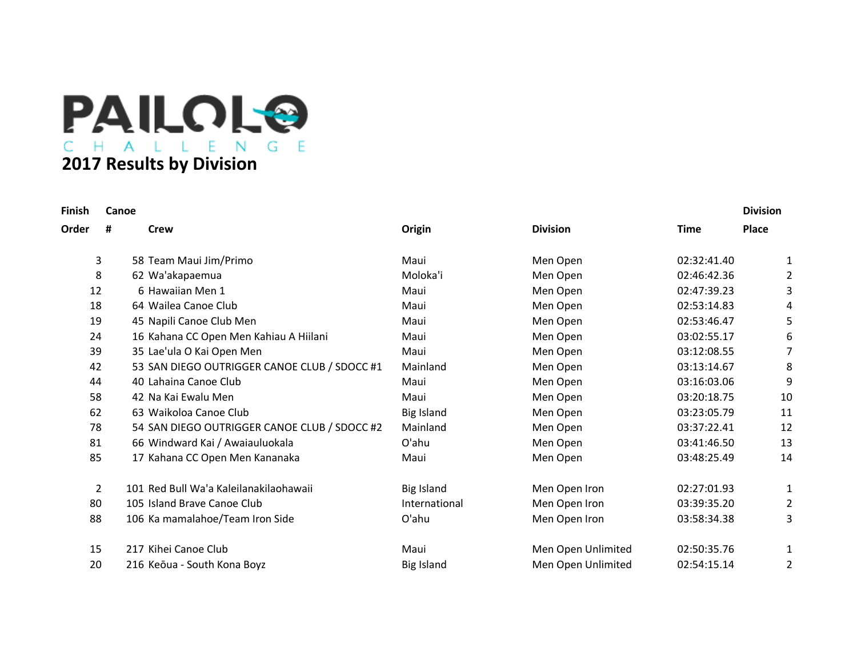

| Finish |                | Canoe                                        |                   |                    |             | <b>Division</b> |
|--------|----------------|----------------------------------------------|-------------------|--------------------|-------------|-----------------|
| Order  | #              | Crew                                         | Origin            | <b>Division</b>    | <b>Time</b> | <b>Place</b>    |
|        | 3              | 58 Team Maui Jim/Primo                       | Maui              | Men Open           | 02:32:41.40 | 1               |
|        | 8              | 62 Wa'akapaemua                              | Moloka'i          | Men Open           | 02:46:42.36 | $\overline{2}$  |
| 12     |                | 6 Hawaiian Men 1                             | Maui              | Men Open           | 02:47:39.23 | 3               |
| 18     |                | 64 Wailea Canoe Club                         | Maui              | Men Open           | 02:53:14.83 | 4               |
| 19     |                | 45 Napili Canoe Club Men                     | Maui              | Men Open           | 02:53:46.47 | 5               |
| 24     |                | 16 Kahana CC Open Men Kahiau A Hiilani       | Maui              | Men Open           | 03:02:55.17 | 6               |
| 39     |                | 35 Lae'ula O Kai Open Men                    | Maui              | Men Open           | 03:12:08.55 | 7               |
| 42     |                | 53 SAN DIEGO OUTRIGGER CANOE CLUB / SDOCC #1 | Mainland          | Men Open           | 03:13:14.67 | 8               |
| 44     |                | 40 Lahaina Canoe Club                        | Maui              | Men Open           | 03:16:03.06 | 9               |
| 58     |                | 42 Na Kai Ewalu Men                          | Maui              | Men Open           | 03:20:18.75 | 10              |
| 62     |                | 63 Waikoloa Canoe Club                       | <b>Big Island</b> | Men Open           | 03:23:05.79 | 11              |
| 78     |                | 54 SAN DIEGO OUTRIGGER CANOE CLUB / SDOCC #2 | Mainland          | Men Open           | 03:37:22.41 | 12              |
| 81     |                | 66 Windward Kai / Awaiauluokala              | O'ahu             | Men Open           | 03:41:46.50 | 13              |
| 85     |                | 17 Kahana CC Open Men Kananaka               | Maui              | Men Open           | 03:48:25.49 | 14              |
|        | $\overline{2}$ | 101 Red Bull Wa'a Kaleilanakilaohawaii       | <b>Big Island</b> | Men Open Iron      | 02:27:01.93 | 1               |
| 80     |                | 105 Island Brave Canoe Club                  | International     | Men Open Iron      | 03:39:35.20 | $\overline{2}$  |
| 88     |                | 106 Ka mamalahoe/Team Iron Side              | O'ahu             | Men Open Iron      | 03:58:34.38 | 3               |
| 15     |                | 217 Kihei Canoe Club                         | Maui              | Men Open Unlimited | 02:50:35.76 | 1               |
| 20     |                | 216 Keōua - South Kona Boyz                  | <b>Big Island</b> | Men Open Unlimited | 02:54:15.14 | 2               |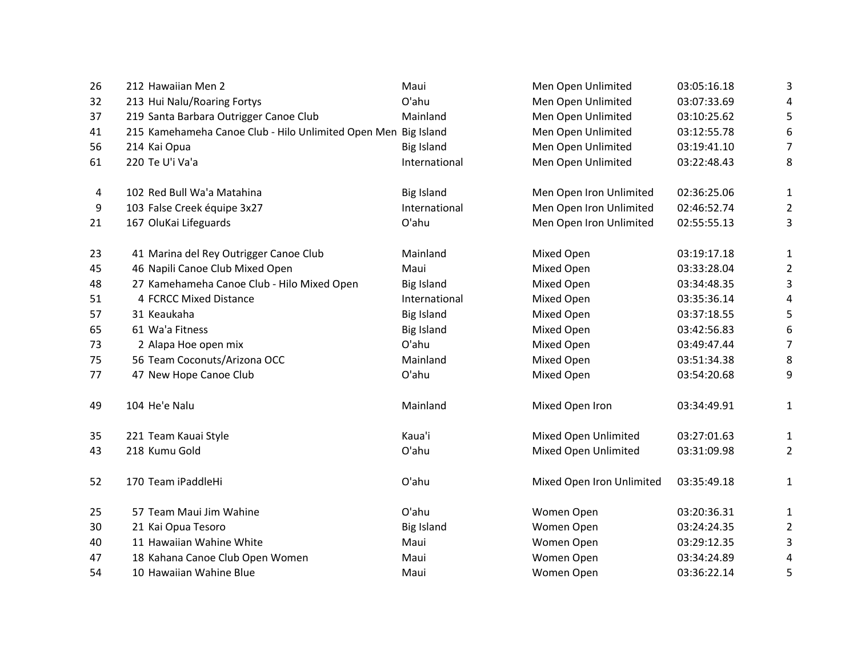| 26 | 212 Hawaiian Men 2                                             | Maui              | Men Open Unlimited        | 03:05:16.18 | 3                       |
|----|----------------------------------------------------------------|-------------------|---------------------------|-------------|-------------------------|
| 32 | 213 Hui Nalu/Roaring Fortys                                    | O'ahu             | Men Open Unlimited        | 03:07:33.69 | 4                       |
| 37 | 219 Santa Barbara Outrigger Canoe Club                         | Mainland          | Men Open Unlimited        | 03:10:25.62 | 5                       |
| 41 | 215 Kamehameha Canoe Club - Hilo Unlimited Open Men Big Island |                   | Men Open Unlimited        | 03:12:55.78 | 6                       |
| 56 | 214 Kai Opua                                                   | <b>Big Island</b> | Men Open Unlimited        | 03:19:41.10 | 7                       |
| 61 | 220 Te U'i Va'a                                                | International     | Men Open Unlimited        | 03:22:48.43 | 8                       |
| 4  | 102 Red Bull Wa'a Matahina                                     | <b>Big Island</b> | Men Open Iron Unlimited   | 02:36:25.06 | 1                       |
| 9  | 103 False Creek équipe 3x27                                    | International     | Men Open Iron Unlimited   | 02:46:52.74 | 2                       |
| 21 | 167 OluKai Lifeguards                                          | O'ahu             | Men Open Iron Unlimited   | 02:55:55.13 | 3                       |
| 23 | 41 Marina del Rey Outrigger Canoe Club                         | Mainland          | Mixed Open                | 03:19:17.18 | $\mathbf 1$             |
| 45 | 46 Napili Canoe Club Mixed Open                                | Maui              | Mixed Open                | 03:33:28.04 | 2                       |
| 48 | 27 Kamehameha Canoe Club - Hilo Mixed Open                     | <b>Big Island</b> | Mixed Open                | 03:34:48.35 | 3                       |
| 51 | 4 FCRCC Mixed Distance                                         | International     | Mixed Open                | 03:35:36.14 | 4                       |
| 57 | 31 Keaukaha                                                    | <b>Big Island</b> | Mixed Open                | 03:37:18.55 | 5                       |
| 65 | 61 Wa'a Fitness                                                | <b>Big Island</b> | Mixed Open                | 03:42:56.83 | 6                       |
| 73 | 2 Alapa Hoe open mix                                           | O'ahu             | Mixed Open                | 03:49:47.44 | 7                       |
| 75 | 56 Team Coconuts/Arizona OCC                                   | Mainland          | Mixed Open                | 03:51:34.38 | 8                       |
| 77 | 47 New Hope Canoe Club                                         | O'ahu             | Mixed Open                | 03:54:20.68 | 9                       |
| 49 | 104 He'e Nalu                                                  | Mainland          | Mixed Open Iron           | 03:34:49.91 | 1                       |
| 35 | 221 Team Kauai Style                                           | Kaua'i            | Mixed Open Unlimited      | 03:27:01.63 | 1                       |
| 43 | 218 Kumu Gold                                                  | O'ahu             | Mixed Open Unlimited      | 03:31:09.98 | $\overline{\mathbf{c}}$ |
| 52 | 170 Team iPaddleHi                                             | O'ahu             | Mixed Open Iron Unlimited | 03:35:49.18 | 1                       |
| 25 | 57 Team Maui Jim Wahine                                        | O'ahu             | Women Open                | 03:20:36.31 | 1                       |
| 30 | 21 Kai Opua Tesoro                                             | <b>Big Island</b> | Women Open                | 03:24:24.35 | 2                       |
| 40 | 11 Hawaiian Wahine White                                       | Maui              | Women Open                | 03:29:12.35 | 3                       |
| 47 | 18 Kahana Canoe Club Open Women                                | Maui              | Women Open                | 03:34:24.89 | 4                       |
| 54 | 10 Hawaiian Wahine Blue                                        | Maui              | Women Open                | 03:36:22.14 | 5                       |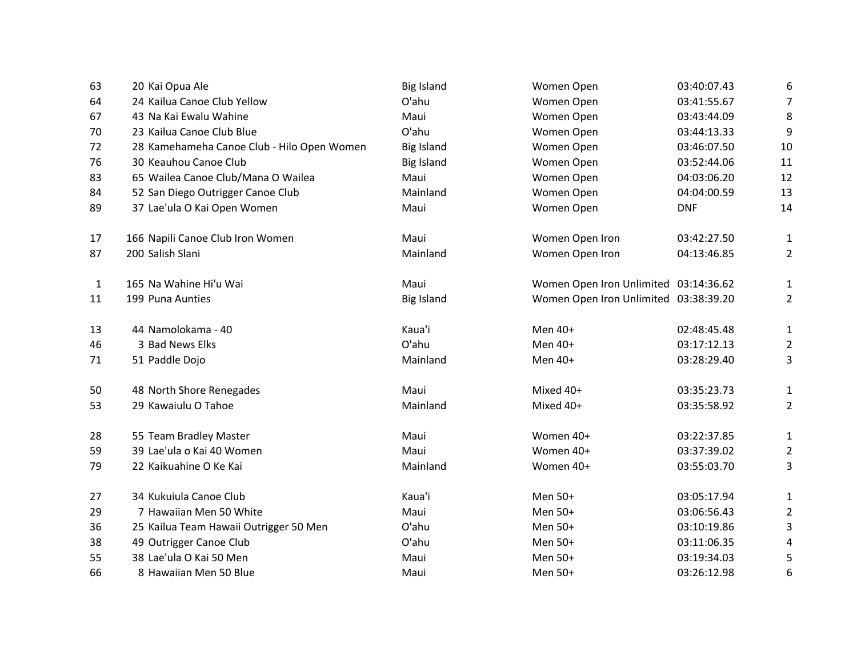| 63           | 20 Kai Opua Ale                            | <b>Big Island</b> | Women Open                            | 03:40:07.43 | 6              |
|--------------|--------------------------------------------|-------------------|---------------------------------------|-------------|----------------|
| 64           | 24 Kailua Canoe Club Yellow                | O'ahu             | Women Open                            | 03:41:55.67 | 7              |
| 67           | 43 Na Kai Ewalu Wahine                     | Maui              | Women Open                            | 03:43:44.09 | 8              |
| 70           | 23 Kailua Canoe Club Blue                  | O'ahu             | Women Open                            | 03:44:13.33 | 9              |
| 72           | 28 Kamehameha Canoe Club - Hilo Open Women | <b>Big Island</b> | Women Open                            | 03:46:07.50 | 10             |
| 76           | 30 Keauhou Canoe Club                      | <b>Big Island</b> | Women Open                            | 03:52:44.06 | 11             |
| 83           | 65 Wailea Canoe Club/Mana O Wailea         | Maui              | Women Open                            | 04:03:06.20 | 12             |
| 84           | 52 San Diego Outrigger Canoe Club          | Mainland          | Women Open                            | 04:04:00.59 | 13             |
| 89           | 37 Lae'ula O Kai Open Women                | Maui              | Women Open                            | <b>DNF</b>  | 14             |
| 17           | 166 Napili Canoe Club Iron Women           | Maui              | Women Open Iron                       | 03:42:27.50 | $\mathbf{1}$   |
| 87           | 200 Salish Slani                           | Mainland          | Women Open Iron                       | 04:13:46.85 | $\overline{2}$ |
| $\mathbf{1}$ | 165 Na Wahine Hi'u Wai                     | Maui              | Women Open Iron Unlimited 03:14:36.62 |             | 1              |
| 11           | 199 Puna Aunties                           | <b>Big Island</b> | Women Open Iron Unlimited 03:38:39.20 |             | 2              |
| 13           | 44 Namolokama - 40                         | Kaua'i            | Men 40+                               | 02:48:45.48 | 1              |
| 46           | 3 Bad News Elks                            | O'ahu             | Men 40+                               | 03:17:12.13 | $\overline{2}$ |
| 71           | 51 Paddle Dojo                             | Mainland          | Men 40+                               | 03:28:29.40 | 3              |
| 50           | 48 North Shore Renegades                   | Maui              | Mixed 40+                             | 03:35:23.73 | $\mathbf{1}$   |
| 53           | 29 Kawaiulu O Tahoe                        | Mainland          | Mixed 40+                             | 03:35:58.92 | $\overline{2}$ |
| 28           | 55 Team Bradley Master                     | Maui              | Women 40+                             | 03:22:37.85 | $\mathbf{1}$   |
| 59           | 39 Lae'ula o Kai 40 Women                  | Maui              | Women 40+                             | 03:37:39.02 | $\overline{2}$ |
| 79           | 22 Kaikuahine O Ke Kai                     | Mainland          | Women 40+                             | 03:55:03.70 | 3              |
| 27           | 34 Kukuiula Canoe Club                     | Kaua'i            | Men 50+                               | 03:05:17.94 | 1              |
| 29           | 7 Hawaiian Men 50 White                    | Maui              | Men 50+                               | 03:06:56.43 | $\overline{2}$ |
| 36           | 25 Kailua Team Hawaii Outrigger 50 Men     | O'ahu             | Men 50+                               | 03:10:19.86 | 3              |
| 38           | 49 Outrigger Canoe Club                    | O'ahu             | Men 50+                               | 03:11:06.35 | 4              |
| 55           | 38 Lae'ula O Kai 50 Men                    | Maui              | Men 50+                               | 03:19:34.03 | 5              |
| 66           | 8 Hawaiian Men 50 Blue                     | Maui              | Men 50+                               | 03:26:12.98 | 6              |